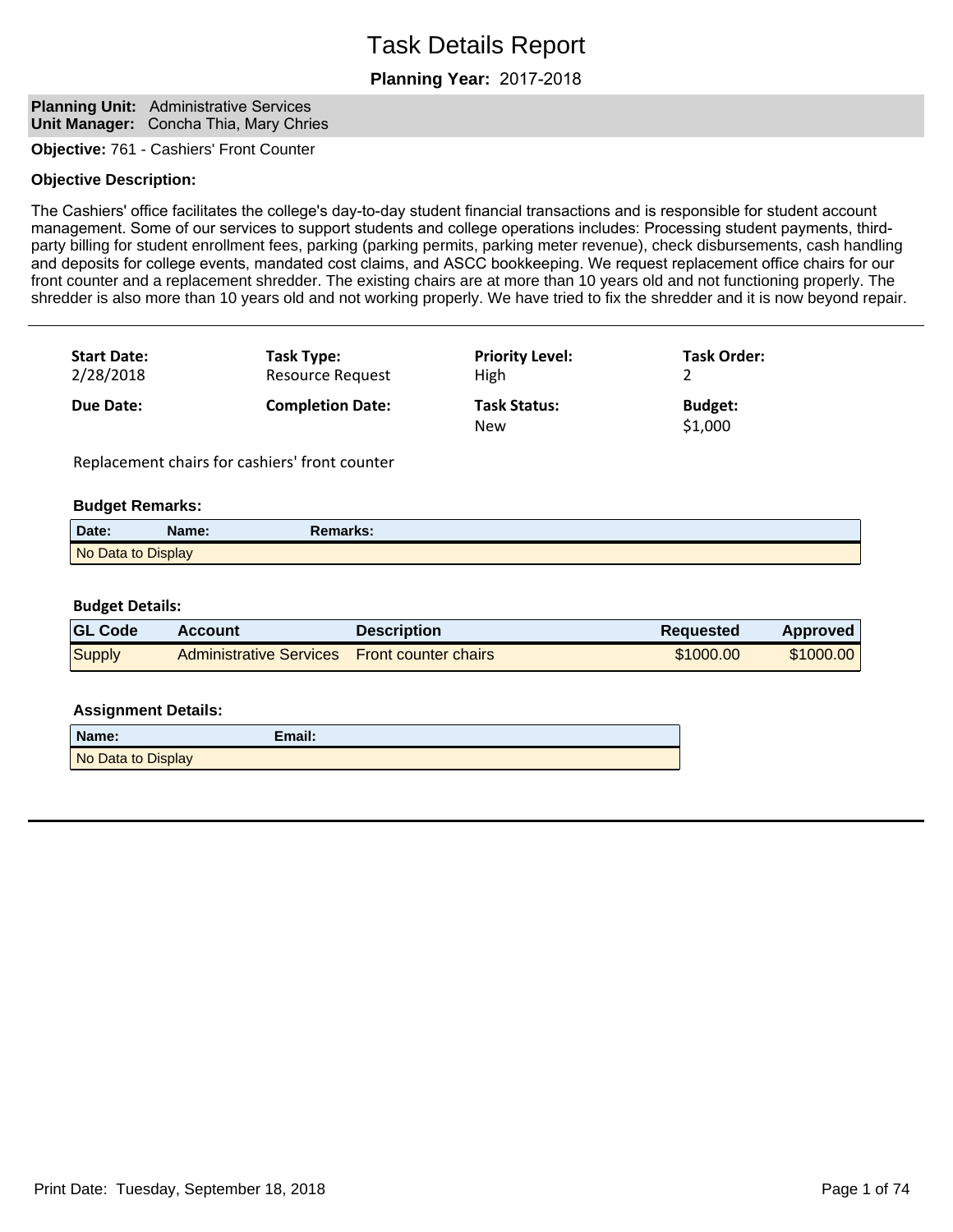## **Planning Year:**

#### **Planning Unit:** Administrative Services **Unit Manager:** Concha Thia, Mary Chries

**Objective:** 761 - Cashiers' Front Counter

#### **Objective Description:**

The Cashiers' office facilitates the college's day-to-day student financial transactions and is responsible for student account management. Some of our services to support students and college operations includes: Processing student payments, thirdparty billing for student enrollment fees, parking (parking permits, parking meter revenue), check disbursements, cash handling and deposits for college events, mandated cost claims, and ASCC bookkeeping. We request replacement office chairs for our front counter and a replacement shredder. The existing chairs are at more than 10 years old and not functioning properly. The shredder is also more than 10 years old and not working properly. We have tried to fix the shredder and it is now beyond repair.

| <b>Start Date:</b> | Task Type:              | <b>Priority Level:</b>            | <b>Task Order:</b>        |
|--------------------|-------------------------|-----------------------------------|---------------------------|
| 2/28/2018          | <b>Resource Request</b> | High                              |                           |
| Due Date:          | <b>Completion Date:</b> | <b>Task Status:</b><br><b>New</b> | <b>Budget:</b><br>\$1,000 |

Replacement chairs for cashiers' front counter

#### **Budget Remarks:**

| Date:              | Name: | Remarks: |  |
|--------------------|-------|----------|--|
| No Data to Display |       |          |  |

#### **Budget Details:**

| <b>GL Code</b> | <b>Account</b>                               | <b>Description</b> | <b>Requested</b> | <b>Approved</b> |
|----------------|----------------------------------------------|--------------------|------------------|-----------------|
| <b>Supply</b>  | Administrative Services Front counter chairs |                    | \$1000.00        | \$1000.00       |

#### **Assignment Details:**

| Name:              | Email: |
|--------------------|--------|
| No Data to Display |        |